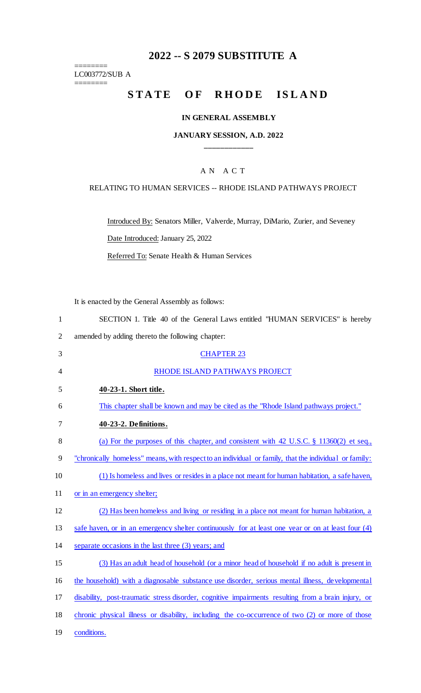# **2022 -- S 2079 SUBSTITUTE A**

LC003772/SUB A ========

========

# STATE OF RHODE ISLAND

#### **IN GENERAL ASSEMBLY**

#### **JANUARY SESSION, A.D. 2022 \_\_\_\_\_\_\_\_\_\_\_\_**

### A N A C T

#### RELATING TO HUMAN SERVICES -- RHODE ISLAND PATHWAYS PROJECT

Introduced By: Senators Miller, Valverde, Murray, DiMario, Zurier, and Seveney

Date Introduced: January 25, 2022

Referred To: Senate Health & Human Services

It is enacted by the General Assembly as follows:

| SECTION 1. Title 40 of the General Laws entitled "HUMAN SERVICES" is hereby |
|-----------------------------------------------------------------------------|
| amended by adding thereto the following chapter:                            |
| <b>CHAPTER 23</b>                                                           |

| 4  | RHODE ISLAND PATHWAYS PROJECT                                                                         |
|----|-------------------------------------------------------------------------------------------------------|
| 5  | 40-23-1. Short title.                                                                                 |
| 6  | This chapter shall be known and may be cited as the "Rhode Island pathways project."                  |
| 7  | 40-23-2. Definitions.                                                                                 |
| 8  | (a) For the purposes of this chapter, and consistent with 42 U.S.C. $\S$ 11360(2) et seq.,            |
| 9  | "chronically homeless" means, with respect to an individual or family, that the individual or family: |
| 10 | (1) Is homeless and lives or resides in a place not meant for human habitation, a safe haven,         |
| 11 | or in an emergency shelter;                                                                           |
| 12 | (2) Has been homeless and living or residing in a place not meant for human habitation, a             |
| 13 | safe haven, or in an emergency shelter continuously for at least one year or on at least four (4)     |
| 14 | separate occasions in the last three (3) years; and                                                   |
| 15 | (3) Has an adult head of household (or a minor head of household if no adult is present in            |
| 16 | the household) with a diagnosable substance use disorder, serious mental illness, developmental       |
| 17 | disability, post-traumatic stress disorder, cognitive impairments resulting from a brain injury, or   |
| 18 | chronic physical illness or disability, including the co-occurrence of two (2) or more of those       |
| 19 | conditions.                                                                                           |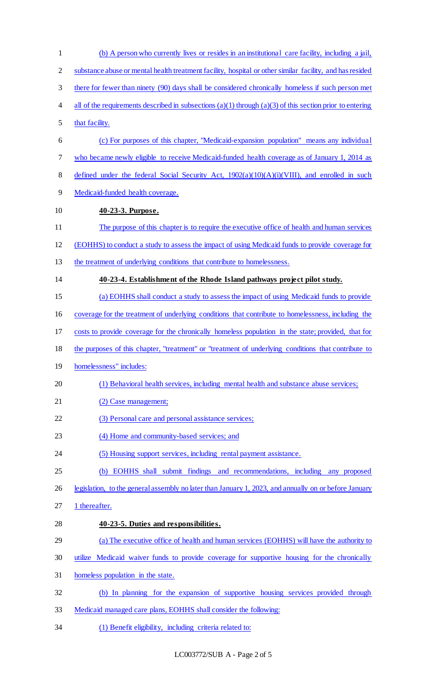(b) A person who currently lives or resides in an institutional care facility, including a jail, substance abuse or mental health treatment facility, hospital or other similar facility, and has resided there for fewer than ninety (90) days shall be considered chronically homeless if such person met 4 all of the requirements described in subsections (a)(1) through (a)(3) of this section prior to entering that facility. (c) For purposes of this chapter, "Medicaid-expansion population" means any individual who became newly eligible to receive Medicaid-funded health coverage as of January 1, 2014 as 8 defined under the federal Social Security Act,  $1902(a)(10)(A)(i)(VIII)$ , and enrolled in such Medicaid-funded health coverage. **40-23-3. Purpose.**  The purpose of this chapter is to require the executive office of health and human services (EOHHS) to conduct a study to assess the impact of using Medicaid funds to provide coverage for 13 the treatment of underlying conditions that contribute to homelessness. **40-23-4. Establishment of the Rhode Island pathways project pilot study.**  (a) EOHHS shall conduct a study to assess the impact of using Medicaid funds to provide coverage for the treatment of underlying conditions that contribute to homelessness, including the costs to provide coverage for the chronically homeless population in the state; provided, that for the purposes of this chapter, "treatment" or "treatment of underlying conditions that contribute to homelessness" includes: (1) Behavioral health services, including mental health and substance abuse services; 21 (2) Case management; 22 (3) Personal care and personal assistance services; (4) Home and community-based services; and (5) Housing support services, including rental payment assistance. (b) EOHHS shall submit findings and recommendations, including any proposed legislation, to the general assembly no later than January 1, 2023, and annually on or before January 27 1 thereafter. **40-23-5. Duties and responsibilities.**  (a) The executive office of health and human services (EOHHS) will have the authority to utilize Medicaid waiver funds to provide coverage for supportive housing for the chronically homeless population in the state. (b) In planning for the expansion of supportive housing services provided through Medicaid managed care plans, EOHHS shall consider the following: (1) Benefit eligibility, including criteria related to: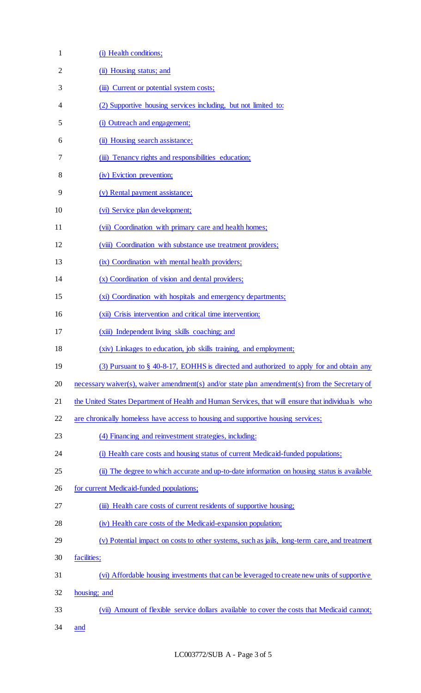| $\mathbf{1}$   | (i) Health conditions;                                                                           |
|----------------|--------------------------------------------------------------------------------------------------|
| $\overline{2}$ | (ii) Housing status; and                                                                         |
| 3              | (iii) Current or potential system costs;                                                         |
| 4              | (2) Supportive housing services including, but not limited to:                                   |
| 5              | (i) Outreach and engagement;                                                                     |
| 6              | (ii) Housing search assistance;                                                                  |
| 7              | (iii) Tenancy rights and responsibilities education;                                             |
| 8              | (iv) Eviction prevention;                                                                        |
| 9              | (v) Rental payment assistance;                                                                   |
| 10             | (vi) Service plan development;                                                                   |
| 11             | (vii) Coordination with primary care and health homes;                                           |
| 12             | (viii) Coordination with substance use treatment providers;                                      |
| 13             | (ix) Coordination with mental health providers;                                                  |
| 14             | (x) Coordination of vision and dental providers;                                                 |
| 15             | (xi) Coordination with hospitals and emergency departments;                                      |
| 16             | (xii) Crisis intervention and critical time intervention;                                        |
| 17             | (xiii) Independent living skills coaching; and                                                   |
| 18             | (xiv) Linkages to education, job skills training, and employment;                                |
| 19             | (3) Pursuant to § 40-8-17, EOHHS is directed and authorized to apply for and obtain any          |
| 20             | necessary waiver(s), waiver amendment(s) and/or state plan amendment(s) from the Secretary of    |
| 21             | the United States Department of Health and Human Services, that will ensure that individuals who |
| 22             | are chronically homeless have access to housing and supportive housing services;                 |
| 23             | (4) Financing and reinvestment strategies, including:                                            |
| 24             | (i) Health care costs and housing status of current Medicaid-funded populations;                 |
| 25             | (ii) The degree to which accurate and up-to-date information on housing status is available      |
| 26             | for current Medicaid-funded populations;                                                         |
| 27             | (iii) Health care costs of current residents of supportive housing;                              |
| 28             | (iv) Health care costs of the Medicaid-expansion population;                                     |
| 29             | (v) Potential impact on costs to other systems, such as jails, long-term care, and treatment     |
| 30             | facilities;                                                                                      |
| 31             | (vi) Affordable housing investments that can be leveraged to create new units of supportive      |
| 32             | housing; and                                                                                     |
| 33             | (vii) Amount of flexible service dollars available to cover the costs that Medicaid cannot;      |
| 34             | and                                                                                              |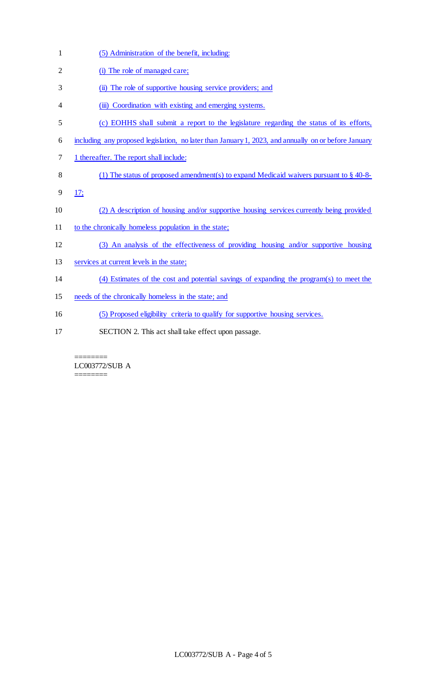| $\mathbf{1}$   | (5) Administration of the benefit, including:                                                        |
|----------------|------------------------------------------------------------------------------------------------------|
| $\overline{2}$ | (i) The role of managed care;                                                                        |
| 3              | (ii) The role of supportive housing service providers; and                                           |
| 4              | (iii) Coordination with existing and emerging systems.                                               |
| 5              | (c) EOHHS shall submit a report to the legislature regarding the status of its efforts,              |
| 6              | including any proposed legislation, no later than January 1, 2023, and annually on or before January |
| 7              | 1 thereafter. The report shall include:                                                              |
| 8              | (1) The status of proposed amendment(s) to expand Medicaid waivers pursuant to $\S$ 40-8-            |
| 9              | 17;                                                                                                  |
| 10             | (2) A description of housing and/or supportive housing services currently being provided             |
| 11             | to the chronically homeless population in the state;                                                 |
| 12             | (3) An analysis of the effectiveness of providing housing and/or supportive housing                  |
| 13             | services at current levels in the state;                                                             |
| 14             | (4) Estimates of the cost and potential savings of expanding the program(s) to meet the              |
| 15             | needs of the chronically homeless in the state; and                                                  |
| 16             | (5) Proposed eligibility criteria to qualify for supportive housing services.                        |
| 17             | SECTION 2. This act shall take effect upon passage.                                                  |
|                |                                                                                                      |

======== LC003772/SUB A

========